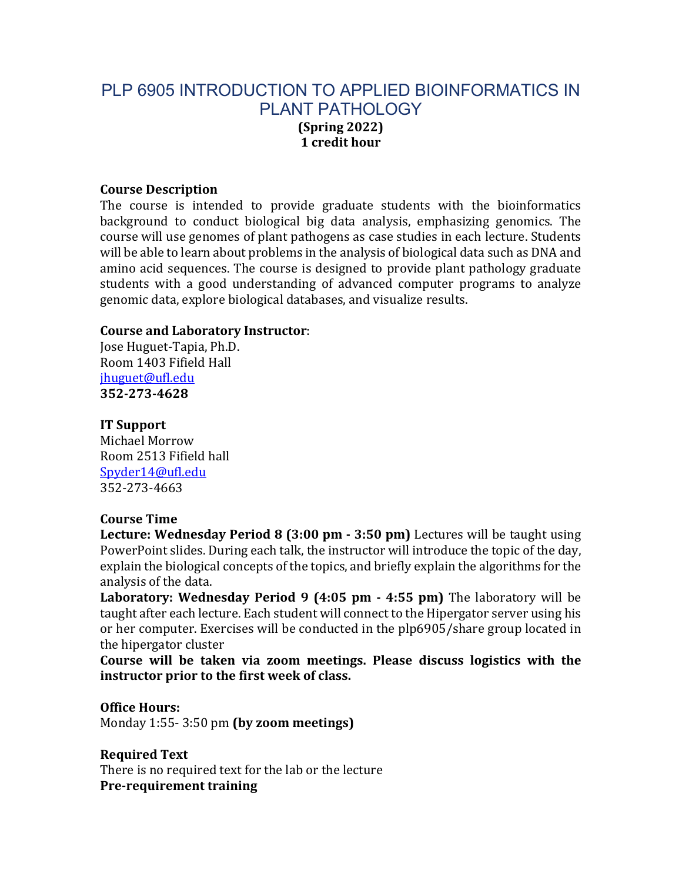# PLP 6905 INTRODUCTION TO APPLIED BIOINFORMATICS IN PLANT PATHOLOGY **(Spring 2022) 1 credit hour**

#### **Course Description**

The course is intended to provide graduate students with the bioinformatics background to conduct biological big data analysis, emphasizing genomics. The course will use genomes of plant pathogens as case studies in each lecture. Students will be able to learn about problems in the analysis of biological data such as DNA and amino acid sequences. The course is designed to provide plant pathology graduate students with a good understanding of advanced computer programs to analyze genomic data, explore biological databases, and visualize results.

#### **Course and Laboratory Instructor:**

Jose Huguet-Tapia, Ph.D. Room 1403 Fifield Hall jhuguet@ufl.edu **352-273-4628**

#### **IT Support**

Michael Morrow Room 2513 Fifield hall Spyder14@ufl.edu 352-273-4663

#### **Course Time**

**Lecture: Wednesday Period 8 (3:00 pm - 3:50 pm)** Lectures will be taught using PowerPoint slides. During each talk, the instructor will introduce the topic of the day, explain the biological concepts of the topics, and briefly explain the algorithms for the analysis of the data.

**Laboratory: Wednesday Period 9 (4:05 pm - 4:55 pm)** The laboratory will be taught after each lecture. Each student will connect to the Hipergator server using his or her computer. Exercises will be conducted in the plp6905/share group located in the hipergator cluster

**Course** will be taken via zoom meetings. Please discuss logistics with the instructor prior to the first week of class.

## **Office Hours:**

Monday 1:55- 3:50 pm (by zoom meetings)

**Required Text** There is no required text for the lab or the lecture **Pre-requirement training**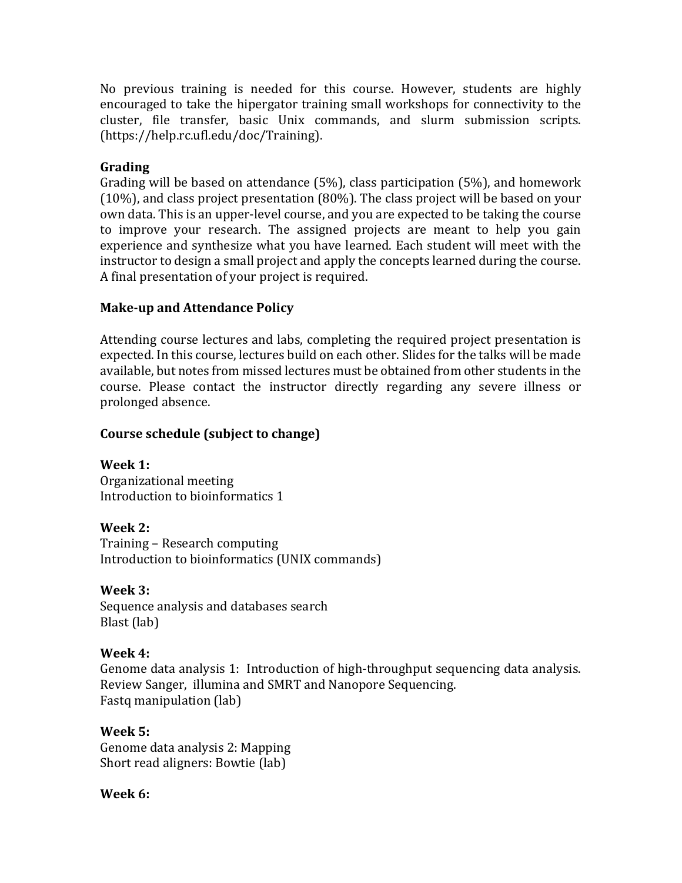No previous training is needed for this course. However, students are highly encouraged to take the hipergator training small workshops for connectivity to the cluster, file transfer, basic Unix commands, and slurm submission scripts. (https://help.rc.ufl.edu/doc/Training).

## **Grading**

Grading will be based on attendance  $(5%)$ , class participation  $(5%)$ , and homework  $(10\%)$ , and class project presentation  $(80\%)$ . The class project will be based on your own data. This is an upper-level course, and you are expected to be taking the course to improve your research. The assigned projects are meant to help you gain experience and synthesize what you have learned. Each student will meet with the instructor to design a small project and apply the concepts learned during the course. A final presentation of your project is required.

## **Make-up and Attendance Policy**

Attending course lectures and labs, completing the required project presentation is expected. In this course, lectures build on each other. Slides for the talks will be made available, but notes from missed lectures must be obtained from other students in the course. Please contact the instructor directly regarding any severe illness or prolonged absence.

## **Course schedule (subject to change)**

**Week 1:** Organizational meeting Introduction to bioinformatics 1

**Week 2:**  Training – Research computing Introduction to bioinformatics (UNIX commands)

**Week 3:**  Sequence analysis and databases search Blast (lab)

## **Week 4:**

Genome data analysis 1: Introduction of high-throughput sequencing data analysis. Review Sanger, illumina and SMRT and Nanopore Sequencing. Fastq manipulation (lab)

**Week 5:**  Genome data analysis 2: Mapping Short read aligners: Bowtie (lab)

## **Week 6:**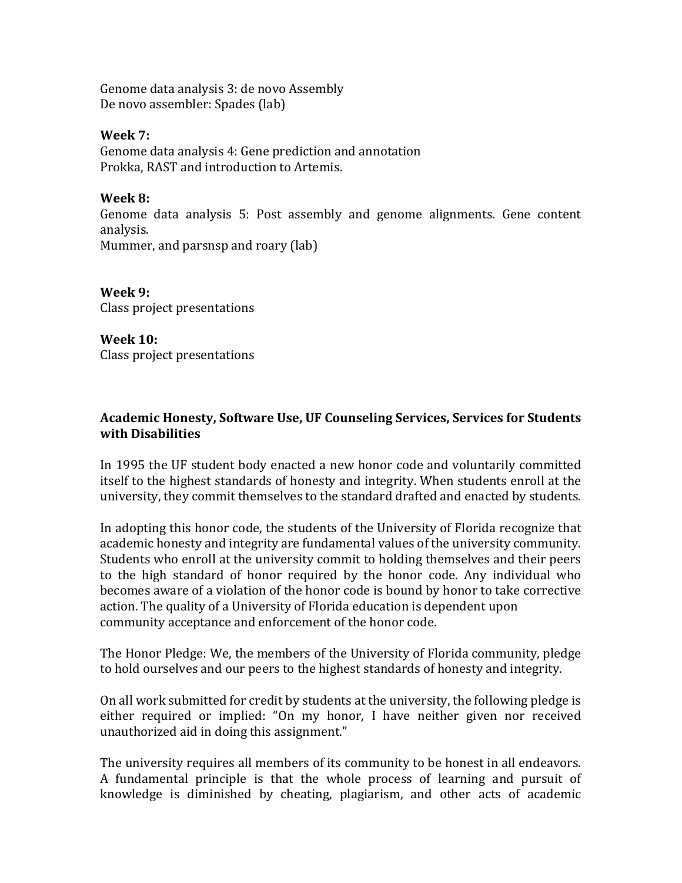Genome data analysis 3: de novo Assembly De novo assembler: Spades (lab)

#### **Week 7:**

Genome data analysis 4: Gene prediction and annotation Prokka, RAST and introduction to Artemis.

#### **Week 8:**

Genome data analysis 5: Post assembly and genome alignments. Gene content analysis. Mummer, and parsnsp and roary (lab)

**Week 9:**  Class project presentations

**Week 10:** Class project presentations

## Academic Honesty, Software Use, UF Counseling Services, Services for Students **with Disabilities**

In 1995 the UF student body enacted a new honor code and voluntarily committed itself to the highest standards of honesty and integrity. When students enroll at the university, they commit themselves to the standard drafted and enacted by students.

In adopting this honor code, the students of the University of Florida recognize that academic honesty and integrity are fundamental values of the university community. Students who enroll at the university commit to holding themselves and their peers to the high standard of honor required by the honor code. Any individual who becomes aware of a violation of the honor code is bound by honor to take corrective action. The quality of a University of Florida education is dependent upon community acceptance and enforcement of the honor code.

The Honor Pledge: We, the members of the University of Florida community, pledge to hold ourselves and our peers to the highest standards of honesty and integrity.

On all work submitted for credit by students at the university, the following pledge is either required or implied: "On my honor, I have neither given nor received unauthorized aid in doing this assignment."

The university requires all members of its community to be honest in all endeavors. A fundamental principle is that the whole process of learning and pursuit of knowledge is diminished by cheating, plagiarism, and other acts of academic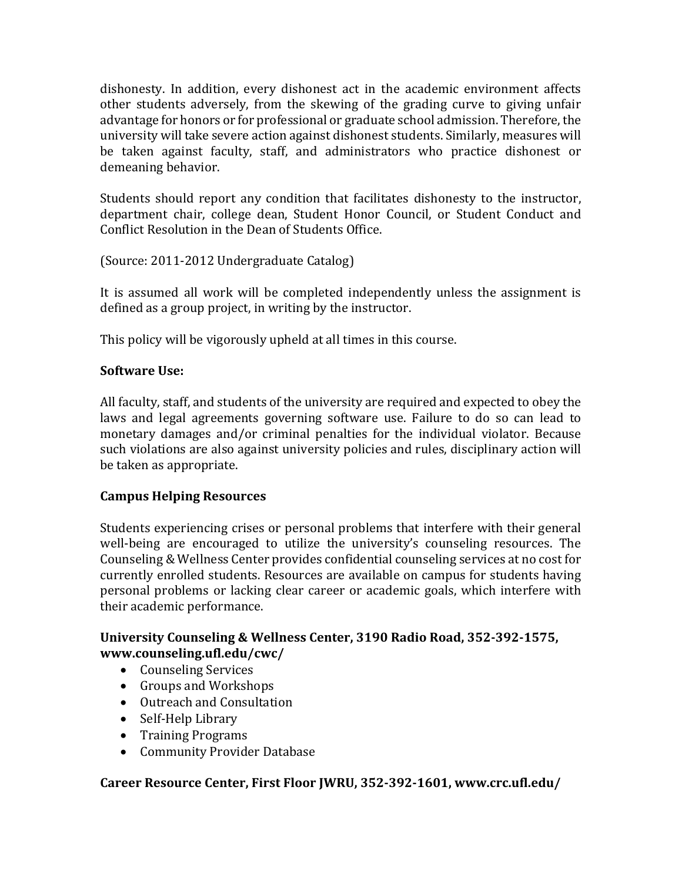dishonesty. In addition, every dishonest act in the academic environment affects other students adversely, from the skewing of the grading curve to giving unfair advantage for honors or for professional or graduate school admission. Therefore, the university will take severe action against dishonest students. Similarly, measures will be taken against faculty, staff, and administrators who practice dishonest or demeaning behavior.

Students should report any condition that facilitates dishonesty to the instructor, department chair, college dean, Student Honor Council, or Student Conduct and Conflict Resolution in the Dean of Students Office.

(Source: 2011-2012 Undergraduate Catalog)

It is assumed all work will be completed independently unless the assignment is defined as a group project, in writing by the instructor.

This policy will be vigorously upheld at all times in this course.

## **Software Use:**

All faculty, staff, and students of the university are required and expected to obey the laws and legal agreements governing software use. Failure to do so can lead to monetary damages and/or criminal penalties for the individual violator. Because such violations are also against university policies and rules, disciplinary action will be taken as appropriate.

## **Campus Helping Resources**

Students experiencing crises or personal problems that interfere with their general well-being are encouraged to utilize the university's counseling resources. The Counseling & Wellness Center provides confidential counseling services at no cost for currently enrolled students. Resources are available on campus for students having personal problems or lacking clear career or academic goals, which interfere with their academic performance.

## University Counseling & Wellness Center, 3190 Radio Road, 352-392-1575, **www.counseling.ufl.edu/cwc/**

- Counseling Services
- Groups and Workshops
- Outreach and Consultation
- Self-Help Library
- Training Programs
- Community Provider Database

## Career Resource Center, First Floor JWRU, 352-392-1601, www.crc.ufl.edu/